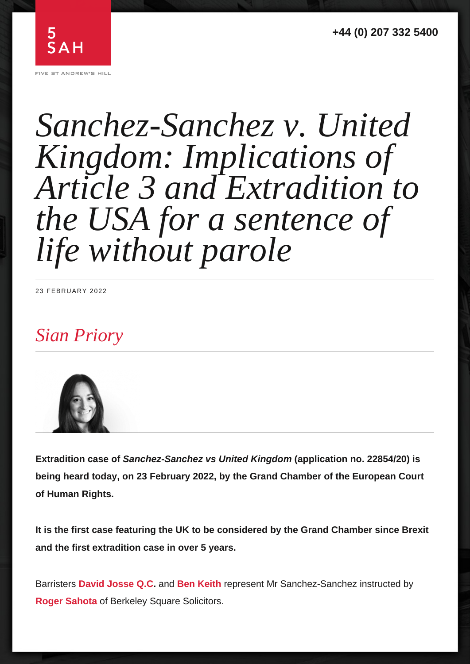## Sian Priory

Barristers **David Josse Q.C** . and **Ben Keith** represent Mr Sanchez-Sanchez instructed by **Roger Sahota** of Berkeley Square Solicitors.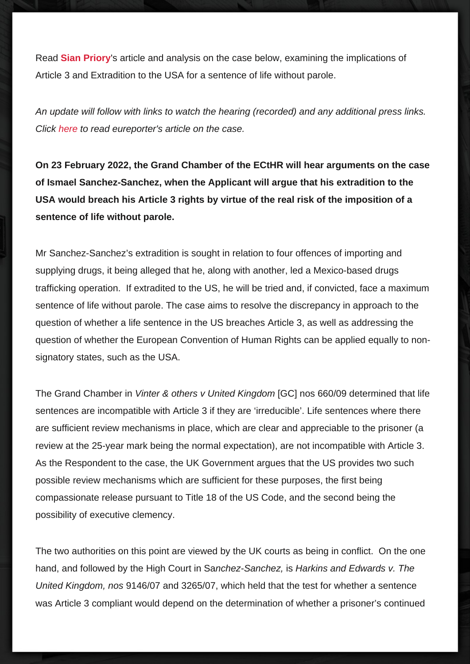Read Sian Priory 's article and analysis on the case below, examining the implications of

Click **here** to read eureporter's article on the case.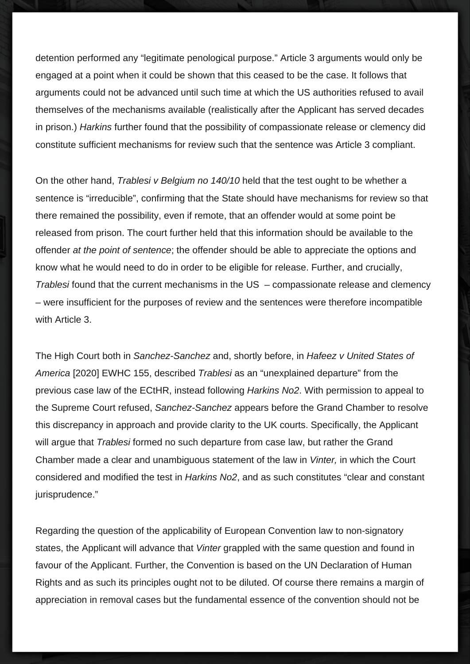detention performed any "legitimate penological purpose." Article 3 arguments would only be engaged at a point when it could be shown that this ceased to be the case. It follows that arguments could not be advanced until such time at which the US authorities refused to avail themselves of the mechanisms available (realistically after the Applicant has served decades in prison.) Harkins further found that the possibility of compassionate release or clemency did constitute sufficient mechanisms for review such that the sentence was Article 3 compliant.

On the other hand, Trablesi v Belgium no 140/10 held that the test ought to be whether a sentence is "irreducible", confirming that the State should have mechanisms for review so that there remained the possibility, even if remote, that an offender would at some point be released from prison. The court further held that this information should be available to the offender at the point of sentence; the offender should be able to appreciate the options and know what he would need to do in order to be eligible for release. Further, and crucially, Trablesi found that the current mechanisms in the US – compassionate release and clemency – were insufficient for the purposes of review and the sentences were therefore incompatible with Article 3.

The High Court both in Sanchez-Sanchez and, shortly before, in Hafeez v United States of America [2020] EWHC 155, described Trablesi as an "unexplained departure" from the previous case law of the ECtHR, instead following Harkins No2. With permission to appeal to the Supreme Court refused, Sanchez-Sanchez appears before the Grand Chamber to resolve this discrepancy in approach and provide clarity to the UK courts. Specifically, the Applicant will argue that Trablesi formed no such departure from case law, but rather the Grand Chamber made a clear and unambiguous statement of the law in Vinter, in which the Court considered and modified the test in Harkins No2, and as such constitutes "clear and constant jurisprudence."

Regarding the question of the applicability of European Convention law to non-signatory states, the Applicant will advance that Vinter grappled with the same question and found in favour of the Applicant. Further, the Convention is based on the UN Declaration of Human Rights and as such its principles ought not to be diluted. Of course there remains a margin of appreciation in removal cases but the fundamental essence of the convention should not be